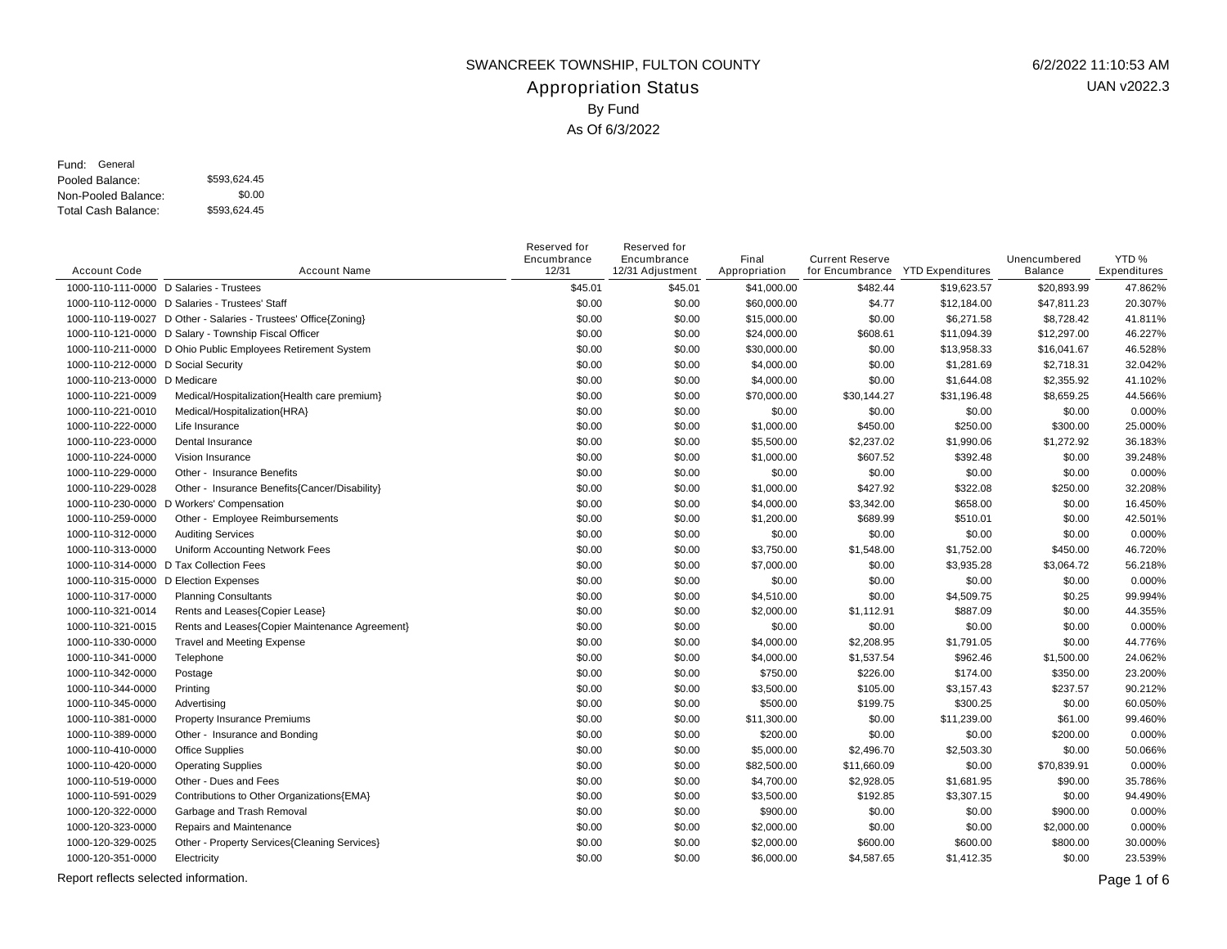## Appropriation Status SWANCREEK TOWNSHIP, FULTON COUNTY 6/2/2022 11:10:53 AM By Fund As Of 6/3/2022

Pooled Balance: \$593,624.45 Non-Pooled Balance: Total Cash Balance: Fund: General

\$0.00 \$593,624.45

| <b>Account Code</b>                     | <b>Account Name</b>                                             | Reserved for<br>Encumbrance<br>12/31 | Reserved for<br>Encumbrance<br>12/31 Adjustment | Final<br>Appropriation | <b>Current Reserve</b> | for Encumbrance YTD Expenditures | Unencumbered<br><b>Balance</b> | YTD%<br>Expenditures |
|-----------------------------------------|-----------------------------------------------------------------|--------------------------------------|-------------------------------------------------|------------------------|------------------------|----------------------------------|--------------------------------|----------------------|
| 1000-110-111-0000 D Salaries - Trustees |                                                                 | \$45.01                              | \$45.01                                         | \$41,000.00            | \$482.44               | \$19,623.57                      | \$20,893.99                    | 47.862%              |
|                                         | 1000-110-112-0000 D Salaries - Trustees' Staff                  | \$0.00                               | \$0.00                                          | \$60,000.00            | \$4.77                 | \$12,184.00                      | \$47,811.23                    | 20.307%              |
|                                         | 1000-110-119-0027 D Other - Salaries - Trustees' Office{Zoning} | \$0.00                               | \$0.00                                          | \$15,000.00            | \$0.00                 | \$6,271.58                       | \$8,728.42                     | 41.811%              |
|                                         | 1000-110-121-0000 D Salary - Township Fiscal Officer            | \$0.00                               | \$0.00                                          | \$24,000.00            | \$608.61               | \$11,094.39                      | \$12,297.00                    | 46.227%              |
|                                         | 1000-110-211-0000 D Ohio Public Employees Retirement System     | \$0.00                               | \$0.00                                          | \$30,000.00            | \$0.00                 | \$13,958.33                      | \$16,041.67                    | 46.528%              |
| 1000-110-212-0000 D Social Security     |                                                                 | \$0.00                               | \$0.00                                          | \$4,000.00             | \$0.00                 | \$1,281.69                       | \$2,718.31                     | 32.042%              |
| 1000-110-213-0000 D Medicare            |                                                                 | \$0.00                               | \$0.00                                          | \$4,000.00             | \$0.00                 | \$1,644.08                       | \$2,355.92                     | 41.102%              |
| 1000-110-221-0009                       | Medical/Hospitalization{Health care premium}                    | \$0.00                               | \$0.00                                          | \$70,000.00            | \$30,144.27            | \$31,196.48                      | \$8,659.25                     | 44.566%              |
| 1000-110-221-0010                       | Medical/Hospitalization{HRA}                                    | \$0.00                               | \$0.00                                          | \$0.00                 | \$0.00                 | \$0.00                           | \$0.00                         | 0.000%               |
| 1000-110-222-0000                       | Life Insurance                                                  | \$0.00                               | \$0.00                                          | \$1,000.00             | \$450.00               | \$250.00                         | \$300.00                       | 25.000%              |
| 1000-110-223-0000                       | Dental Insurance                                                | \$0.00                               | \$0.00                                          | \$5,500.00             | \$2,237.02             | \$1,990.06                       | \$1,272.92                     | 36.183%              |
| 1000-110-224-0000                       | Vision Insurance                                                | \$0.00                               | \$0.00                                          | \$1,000.00             | \$607.52               | \$392.48                         | \$0.00                         | 39.248%              |
| 1000-110-229-0000                       | Other - Insurance Benefits                                      | \$0.00                               | \$0.00                                          | \$0.00                 | \$0.00                 | \$0.00                           | \$0.00                         | 0.000%               |
| 1000-110-229-0028                       | Other - Insurance Benefits{Cancer/Disability}                   | \$0.00                               | \$0.00                                          | \$1,000.00             | \$427.92               | \$322.08                         | \$250.00                       | 32.208%              |
|                                         | 1000-110-230-0000 D Workers' Compensation                       | \$0.00                               | \$0.00                                          | \$4,000.00             | \$3,342.00             | \$658.00                         | \$0.00                         | 16.450%              |
| 1000-110-259-0000                       | Other - Employee Reimbursements                                 | \$0.00                               | \$0.00                                          | \$1,200.00             | \$689.99               | \$510.01                         | \$0.00                         | 42.501%              |
| 1000-110-312-0000                       | <b>Auditing Services</b>                                        | \$0.00                               | \$0.00                                          | \$0.00                 | \$0.00                 | \$0.00                           | \$0.00                         | 0.000%               |
| 1000-110-313-0000                       | Uniform Accounting Network Fees                                 | \$0.00                               | \$0.00                                          | \$3,750.00             | \$1,548.00             | \$1,752.00                       | \$450.00                       | 46.720%              |
|                                         | 1000-110-314-0000 D Tax Collection Fees                         | \$0.00                               | \$0.00                                          | \$7,000.00             | \$0.00                 | \$3,935.28                       | \$3,064.72                     | 56.218%              |
| 1000-110-315-0000 D Election Expenses   |                                                                 | \$0.00                               | \$0.00                                          | \$0.00                 | \$0.00                 | \$0.00                           | \$0.00                         | 0.000%               |
| 1000-110-317-0000                       | <b>Planning Consultants</b>                                     | \$0.00                               | \$0.00                                          | \$4,510.00             | \$0.00                 | \$4,509.75                       | \$0.25                         | 99.994%              |
| 1000-110-321-0014                       | Rents and Leases{Copier Lease}                                  | \$0.00                               | \$0.00                                          | \$2,000.00             | \$1,112.91             | \$887.09                         | \$0.00                         | 44.355%              |
| 1000-110-321-0015                       | Rents and Leases{Copier Maintenance Agreement}                  | \$0.00                               | \$0.00                                          | \$0.00                 | \$0.00                 | \$0.00                           | \$0.00                         | 0.000%               |
| 1000-110-330-0000                       | <b>Travel and Meeting Expense</b>                               | \$0.00                               | \$0.00                                          | \$4,000.00             | \$2,208.95             | \$1,791.05                       | \$0.00                         | 44.776%              |
| 1000-110-341-0000                       | Telephone                                                       | \$0.00                               | \$0.00                                          | \$4,000.00             | \$1,537.54             | \$962.46                         | \$1,500.00                     | 24.062%              |
| 1000-110-342-0000                       | Postage                                                         | \$0.00                               | \$0.00                                          | \$750.00               | \$226.00               | \$174.00                         | \$350.00                       | 23.200%              |
| 1000-110-344-0000                       | Printing                                                        | \$0.00                               | \$0.00                                          | \$3,500.00             | \$105.00               | \$3,157.43                       | \$237.57                       | 90.212%              |
| 1000-110-345-0000                       | Advertising                                                     | \$0.00                               | \$0.00                                          | \$500.00               | \$199.75               | \$300.25                         | \$0.00                         | 60.050%              |
| 1000-110-381-0000                       | Property Insurance Premiums                                     | \$0.00                               | \$0.00                                          | \$11,300.00            | \$0.00                 | \$11,239.00                      | \$61.00                        | 99.460%              |
| 1000-110-389-0000                       | Other - Insurance and Bonding                                   | \$0.00                               | \$0.00                                          | \$200.00               | \$0.00                 | \$0.00                           | \$200.00                       | 0.000%               |
| 1000-110-410-0000                       | <b>Office Supplies</b>                                          | \$0.00                               | \$0.00                                          | \$5,000.00             | \$2,496.70             | \$2,503.30                       | \$0.00                         | 50.066%              |
| 1000-110-420-0000                       | <b>Operating Supplies</b>                                       | \$0.00                               | \$0.00                                          | \$82,500.00            | \$11,660.09            | \$0.00                           | \$70,839.91                    | 0.000%               |
| 1000-110-519-0000                       | Other - Dues and Fees                                           | \$0.00                               | \$0.00                                          | \$4,700.00             | \$2,928.05             | \$1,681.95                       | \$90.00                        | 35.786%              |
| 1000-110-591-0029                       | Contributions to Other Organizations{EMA}                       | \$0.00                               | \$0.00                                          | \$3,500.00             | \$192.85               | \$3,307.15                       | \$0.00                         | 94.490%              |
| 1000-120-322-0000                       | Garbage and Trash Removal                                       | \$0.00                               | \$0.00                                          | \$900.00               | \$0.00                 | \$0.00                           | \$900.00                       | 0.000%               |
| 1000-120-323-0000                       | Repairs and Maintenance                                         | \$0.00                               | \$0.00                                          | \$2,000.00             | \$0.00                 | \$0.00                           | \$2,000.00                     | 0.000%               |
| 1000-120-329-0025                       | Other - Property Services{Cleaning Services}                    | \$0.00                               | \$0.00                                          | \$2,000.00             | \$600.00               | \$600.00                         | \$800.00                       | 30.000%              |
| 1000-120-351-0000                       | Electricity                                                     | \$0.00                               | \$0.00                                          | \$6,000.00             | \$4,587.65             | \$1,412.35                       | \$0.00                         | 23.539%              |
| Report reflects selected information.   |                                                                 |                                      |                                                 |                        |                        |                                  |                                | Page 1 of 6          |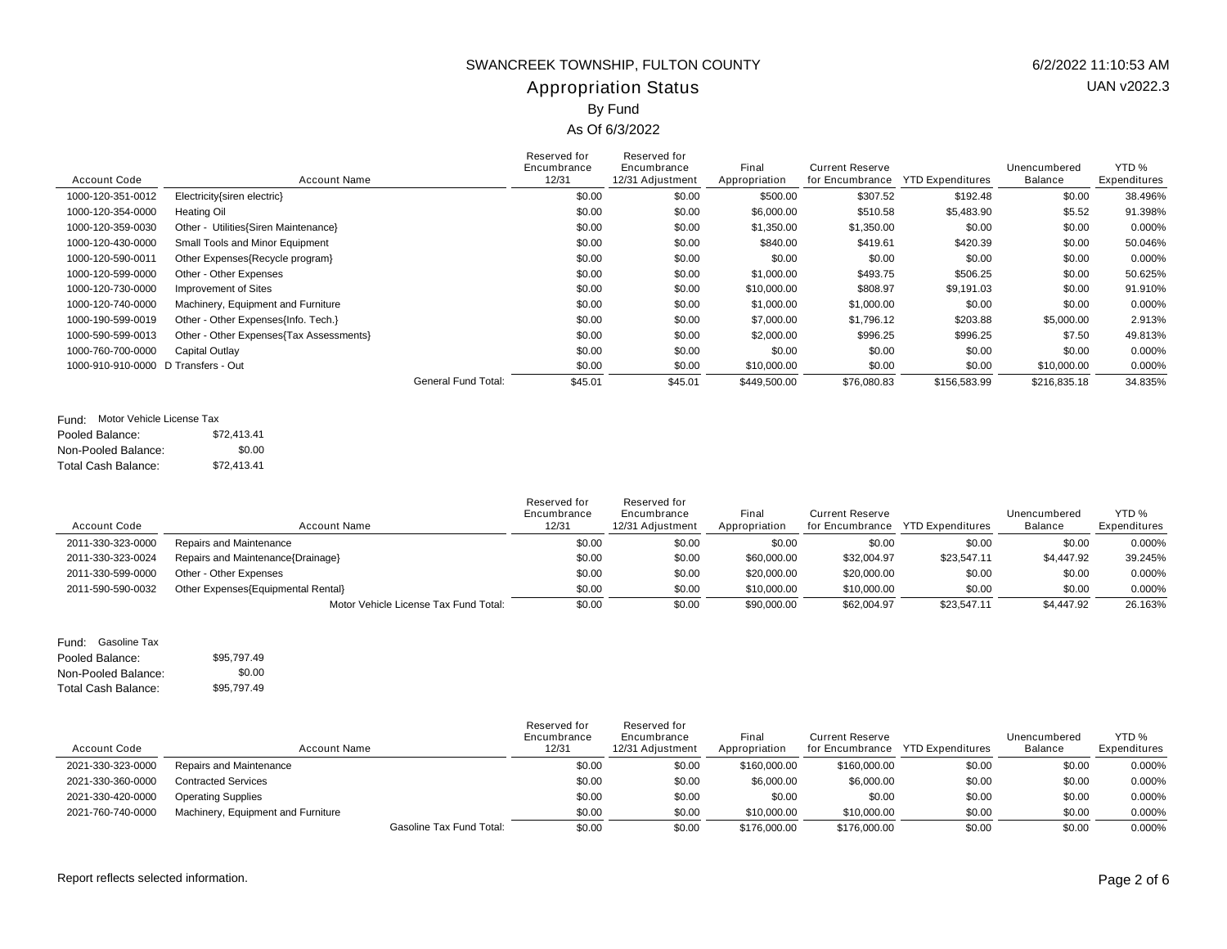## Appropriation Status SWANCREEK TOWNSHIP, FULTON COUNTY 6/2/2022 11:10:53 AM By Fund

#### As Of 6/3/2022

| <b>Account Code</b> | <b>Account Name</b>                     | Reserved for<br>Encumbrance<br>12/31  | Reserved for<br>Encumbrance<br>12/31 Adjustment | Final<br>Appropriation | <b>Current Reserve</b><br>for Encumbrance | <b>YTD Expenditures</b> | Unencumbered<br>Balance | YTD <sub>%</sub><br>Expenditures |
|---------------------|-----------------------------------------|---------------------------------------|-------------------------------------------------|------------------------|-------------------------------------------|-------------------------|-------------------------|----------------------------------|
| 1000-120-351-0012   | Electricity{siren electric}             | \$0.00                                | \$0.00                                          | \$500.00               | \$307.52                                  | \$192.48                | \$0.00                  | 38.496%                          |
| 1000-120-354-0000   | Heating Oil                             | \$0.00                                | \$0.00                                          | \$6,000.00             | \$510.58                                  | \$5,483.90              | \$5.52                  | 91.398%                          |
| 1000-120-359-0030   | Other - Utilities{Siren Maintenance}    | \$0.00                                | \$0.00                                          | \$1,350.00             | \$1,350.00                                | \$0.00                  | \$0.00                  | 0.000%                           |
| 1000-120-430-0000   | Small Tools and Minor Equipment         | \$0.00                                | \$0.00                                          | \$840.00               | \$419.61                                  | \$420.39                | \$0.00                  | 50.046%                          |
| 1000-120-590-0011   | Other Expenses{Recycle program}         | \$0.00                                | \$0.00                                          | \$0.00                 | \$0.00                                    | \$0.00                  | \$0.00                  | 0.000%                           |
| 1000-120-599-0000   | Other - Other Expenses                  | \$0.00                                | \$0.00                                          | \$1,000.00             | \$493.75                                  | \$506.25                | \$0.00                  | 50.625%                          |
| 1000-120-730-0000   | Improvement of Sites                    | \$0.00                                | \$0.00                                          | \$10,000.00            | \$808.97                                  | \$9,191.03              | \$0.00                  | 91.910%                          |
| 1000-120-740-0000   | Machinery, Equipment and Furniture      | \$0.00                                | \$0.00                                          | \$1,000.00             | \$1,000.00                                | \$0.00                  | \$0.00                  | 0.000%                           |
| 1000-190-599-0019   | Other - Other Expenses{Info. Tech.}     | \$0.00                                | \$0.00                                          | \$7,000.00             | \$1,796.12                                | \$203.88                | \$5,000.00              | 2.913%                           |
| 1000-590-599-0013   | Other - Other Expenses{Tax Assessments} | \$0.00                                | \$0.00                                          | \$2,000.00             | \$996.25                                  | \$996.25                | \$7.50                  | 49.813%                          |
| 1000-760-700-0000   | Capital Outlay                          | \$0.00                                | \$0.00                                          | \$0.00                 | \$0.00                                    | \$0.00                  | \$0.00                  | 0.000%                           |
| 1000-910-910-0000   | D Transfers - Out                       | \$0.00                                | \$0.00                                          | \$10,000.00            | \$0.00                                    | \$0.00                  | \$10,000.00             | 0.000%                           |
|                     |                                         | <b>General Fund Total:</b><br>\$45.01 | \$45.01                                         | \$449.500.00           | \$76,080.83                               | \$156,583.99            | \$216,835.18            | 34.835%                          |

#### Fund: Motor Vehicle License Tax

| Pooled Balance:     | \$72.413.41 |
|---------------------|-------------|
| Non-Pooled Balance: | \$0.00      |
| Total Cash Balance: | \$72.413.41 |

| <b>Account Code</b> | Account Name                          | Reserved for<br>Encumbrance<br>12/31 | Reserved for<br>Encumbrance<br>12/31 Adjustment | Final<br>Appropriation | <b>Current Reserve</b><br>for Encumbrance | YTD Expenditures | Unencumbered<br><b>Balance</b> | YTD %<br>Expenditures |
|---------------------|---------------------------------------|--------------------------------------|-------------------------------------------------|------------------------|-------------------------------------------|------------------|--------------------------------|-----------------------|
| 2011-330-323-0000   | Repairs and Maintenance               | \$0.00                               | \$0.00                                          | \$0.00                 | \$0.00                                    | \$0.00           | \$0.00                         | 0.000%                |
| 2011-330-323-0024   | Repairs and Maintenance{Drainage}     | \$0.00                               | \$0.00                                          | \$60,000.00            | \$32,004.97                               | \$23,547.11      | \$4,447.92                     | 39.245%               |
| 2011-330-599-0000   | Other - Other Expenses                | \$0.00                               | \$0.00                                          | \$20,000.00            | \$20,000.00                               | \$0.00           | \$0.00                         | 0.000%                |
| 2011-590-590-0032   | Other Expenses (Equipmental Rental)   | \$0.00                               | \$0.00                                          | \$10,000.00            | \$10,000.00                               | \$0.00           | \$0.00                         | 0.000%                |
|                     | Motor Vehicle License Tax Fund Total: | \$0.00                               | \$0.00                                          | \$90,000.00            | \$62,004.97                               | \$23,547.11      | \$4,447.92                     | 26.163%               |

#### Pooled Balance: \$95,797.49 Non-Pooled Balance: Total Cash Balance: Fund: Gasoline Tax \$0.00 \$95,797.49

| <b>Account Code</b> | Account Name                       | Reserved for<br>Encumbrance<br>12/31 | Reserved for<br>Encumbrance<br>12/31 Adjustment | Final<br>Appropriation | Current Reserve<br>for Encumbrance | <b>YTD Expenditures</b> | Unencumbered<br>Balance | YTD %<br>Expenditures |
|---------------------|------------------------------------|--------------------------------------|-------------------------------------------------|------------------------|------------------------------------|-------------------------|-------------------------|-----------------------|
| 2021-330-323-0000   | Repairs and Maintenance            | \$0.00                               | \$0.00                                          | \$160,000,00           | \$160,000.00                       | \$0.00                  | \$0.00                  | 0.000%                |
| 2021-330-360-0000   | <b>Contracted Services</b>         | \$0.00                               | \$0.00                                          | \$6,000.00             | \$6,000.00                         | \$0.00                  | \$0.00                  | 0.000%                |
| 2021-330-420-0000   | <b>Operating Supplies</b>          | \$0.00                               | \$0.00                                          | \$0.00                 | \$0.00                             | \$0.00                  | \$0.00                  | 0.000%                |
| 2021-760-740-0000   | Machinery, Equipment and Furniture | \$0.00                               | \$0.00                                          | \$10,000.00            | \$10,000.00                        | \$0.00                  | \$0.00                  | 0.000%                |
|                     | <b>Gasoline Tax Fund Total:</b>    | \$0.00                               | \$0.00                                          | \$176,000.00           | \$176,000.00                       | \$0.00                  | \$0.00                  | 0.000%                |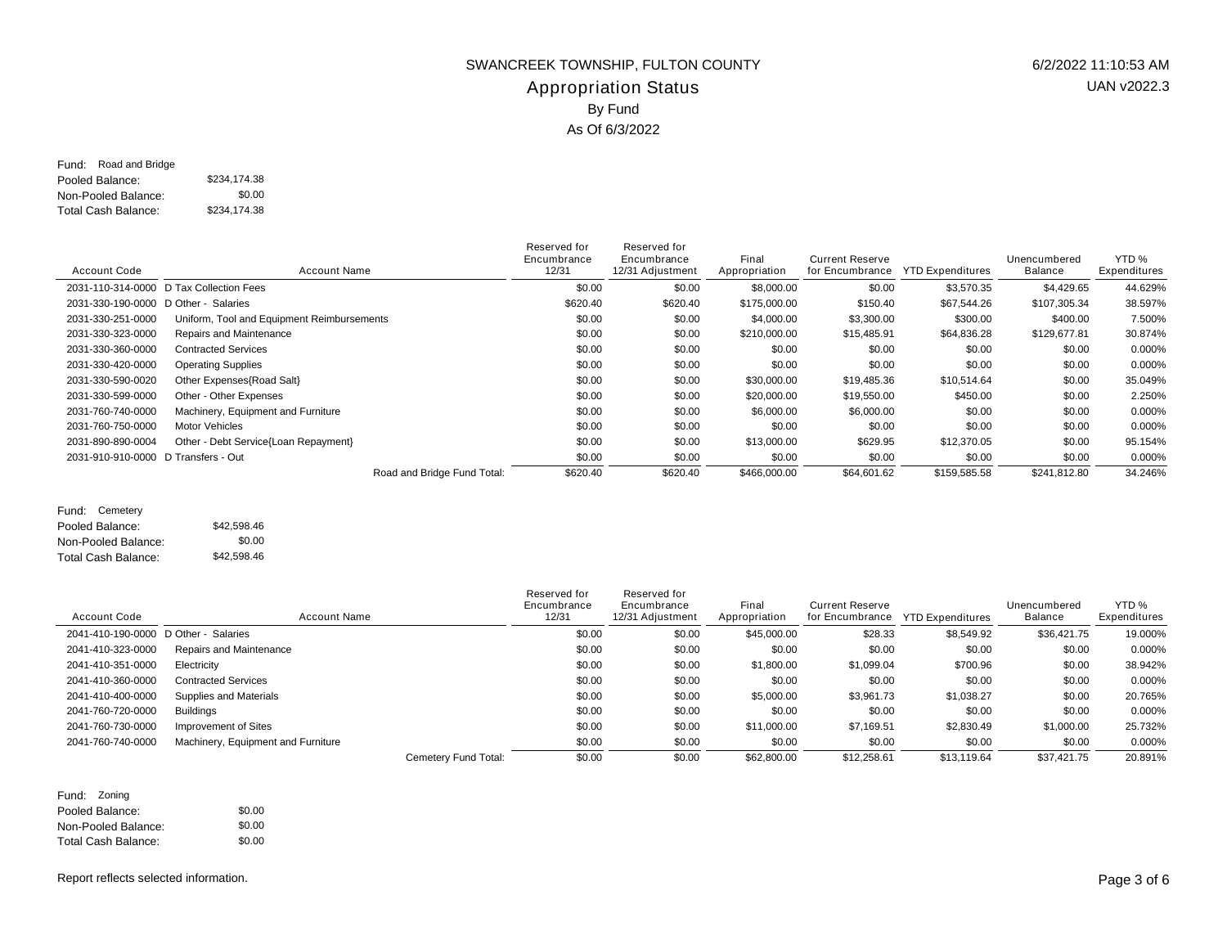### Appropriation Status SWANCREEK TOWNSHIP, FULTON COUNTY 6/2/2022 11:10:53 AM By Fund As Of 6/3/2022

Pooled Balance: \$234,174.38 Non-Pooled Balance: Total Cash Balance: Fund: Road and Bridge \$0.00 \$234,174.38

| <b>Account Code</b>                  | <b>Account Name</b>                        | Reserved for<br>Encumbrance<br>12/31 | Reserved for<br>Encumbrance<br>12/31 Adjustment | Final<br>Appropriation | <b>Current Reserve</b><br>for Encumbrance | <b>YTD Expenditures</b> | Unencumbered<br><b>Balance</b> | YTD %<br>Expenditures |
|--------------------------------------|--------------------------------------------|--------------------------------------|-------------------------------------------------|------------------------|-------------------------------------------|-------------------------|--------------------------------|-----------------------|
|                                      | 2031-110-314-0000 D Tax Collection Fees    | \$0.00                               | \$0.00                                          | \$8,000.00             | \$0.00                                    | \$3,570.35              | \$4,429.65                     | 44.629%               |
| 2031-330-190-0000 D Other - Salaries |                                            | \$620.40                             | \$620.40                                        | \$175,000.00           | \$150.40                                  | \$67,544.26             | \$107,305.34                   | 38.597%               |
| 2031-330-251-0000                    | Uniform, Tool and Equipment Reimbursements | \$0.00                               | \$0.00                                          | \$4,000.00             | \$3,300.00                                | \$300.00                | \$400.00                       | 7.500%                |
| 2031-330-323-0000                    | Repairs and Maintenance                    | \$0.00                               | \$0.00                                          | \$210,000.00           | \$15,485.91                               | \$64,836.28             | \$129,677.81                   | 30.874%               |
| 2031-330-360-0000                    | <b>Contracted Services</b>                 | \$0.00                               | \$0.00                                          | \$0.00                 | \$0.00                                    | \$0.00                  | \$0.00                         | 0.000%                |
| 2031-330-420-0000                    | <b>Operating Supplies</b>                  | \$0.00                               | \$0.00                                          | \$0.00                 | \$0.00                                    | \$0.00                  | \$0.00                         | 0.000%                |
| 2031-330-590-0020                    | Other Expenses{Road Salt}                  | \$0.00                               | \$0.00                                          | \$30,000.00            | \$19,485.36                               | \$10,514.64             | \$0.00                         | 35.049%               |
| 2031-330-599-0000                    | Other - Other Expenses                     | \$0.00                               | \$0.00                                          | \$20,000.00            | \$19,550.00                               | \$450.00                | \$0.00                         | 2.250%                |
| 2031-760-740-0000                    | Machinery, Equipment and Furniture         | \$0.00                               | \$0.00                                          | \$6,000.00             | \$6,000.00                                | \$0.00                  | \$0.00                         | 0.000%                |
| 2031-760-750-0000                    | <b>Motor Vehicles</b>                      | \$0.00                               | \$0.00                                          | \$0.00                 | \$0.00                                    | \$0.00                  | \$0.00                         | 0.000%                |
| 2031-890-890-0004                    | Other - Debt Service{Loan Repayment}       | \$0.00                               | \$0.00                                          | \$13,000.00            | \$629.95                                  | \$12,370.05             | \$0.00                         | 95.154%               |
| 2031-910-910-0000 D Transfers - Out  |                                            | \$0.00                               | \$0.00                                          | \$0.00                 | \$0.00                                    | \$0.00                  | \$0.00                         | 0.000%                |
|                                      | Road and Bridge Fund Total:                | \$620.40                             | \$620.40                                        | \$466,000.00           | \$64,601.62                               | \$159,585.58            | \$241,812.80                   | 34.246%               |

Pooled Balance: \$42,598.46 Non-Pooled Balance: Total Cash Balance: Fund: Cemetery \$0.00 \$42,598.46

| <b>Account Code</b>                  | <b>Account Name</b>                | Reserved for<br>Encumbrance<br>12/31 | Reserved for<br>Encumbrance<br>12/31 Adjustment | Final<br>Appropriation | <b>Current Reserve</b><br>for Encumbrance | <b>YTD Expenditures</b> | Unencumbered<br>Balance | YTD %<br>Expenditures |
|--------------------------------------|------------------------------------|--------------------------------------|-------------------------------------------------|------------------------|-------------------------------------------|-------------------------|-------------------------|-----------------------|
| 2041-410-190-0000 D Other - Salaries |                                    | \$0.00                               | \$0.00                                          | \$45,000.00            | \$28.33                                   | \$8,549.92              | \$36,421.75             | 19.000%               |
| 2041-410-323-0000                    | Repairs and Maintenance            | \$0.00                               | \$0.00                                          | \$0.00                 | \$0.00                                    | \$0.00                  | \$0.00                  | 0.000%                |
| 2041-410-351-0000                    | Electricity                        | \$0.00                               | \$0.00                                          | \$1,800.00             | \$1,099.04                                | \$700.96                | \$0.00                  | 38.942%               |
| 2041-410-360-0000                    | <b>Contracted Services</b>         | \$0.00                               | \$0.00                                          | \$0.00                 | \$0.00                                    | \$0.00                  | \$0.00                  | 0.000%                |
| 2041-410-400-0000                    | Supplies and Materials             | \$0.00                               | \$0.00                                          | \$5,000.00             | \$3,961.73                                | \$1,038.27              | \$0.00                  | 20.765%               |
| 2041-760-720-0000                    | Buildinas                          | \$0.00                               | \$0.00                                          | \$0.00                 | \$0.00                                    | \$0.00                  | \$0.00                  | 0.000%                |
| 2041-760-730-0000                    | Improvement of Sites               | \$0.00                               | \$0.00                                          | \$11,000.00            | \$7.169.51                                | \$2,830.49              | \$1,000.00              | 25.732%               |
| 2041-760-740-0000                    | Machinery, Equipment and Furniture | \$0.00                               | \$0.00                                          | \$0.00                 | \$0.00                                    | \$0.00                  | \$0.00                  | 0.000%                |
|                                      | Cemetery Fund Total:               | \$0.00                               | \$0.00                                          | \$62,800.00            | \$12,258.61                               | \$13.119.64             | \$37.421.75             | 20.891%               |

| Fund: Zoning               |        |
|----------------------------|--------|
| Pooled Balance:            | \$0.00 |
| Non-Pooled Balance:        | \$0.00 |
| <b>Total Cash Balance:</b> | \$0.00 |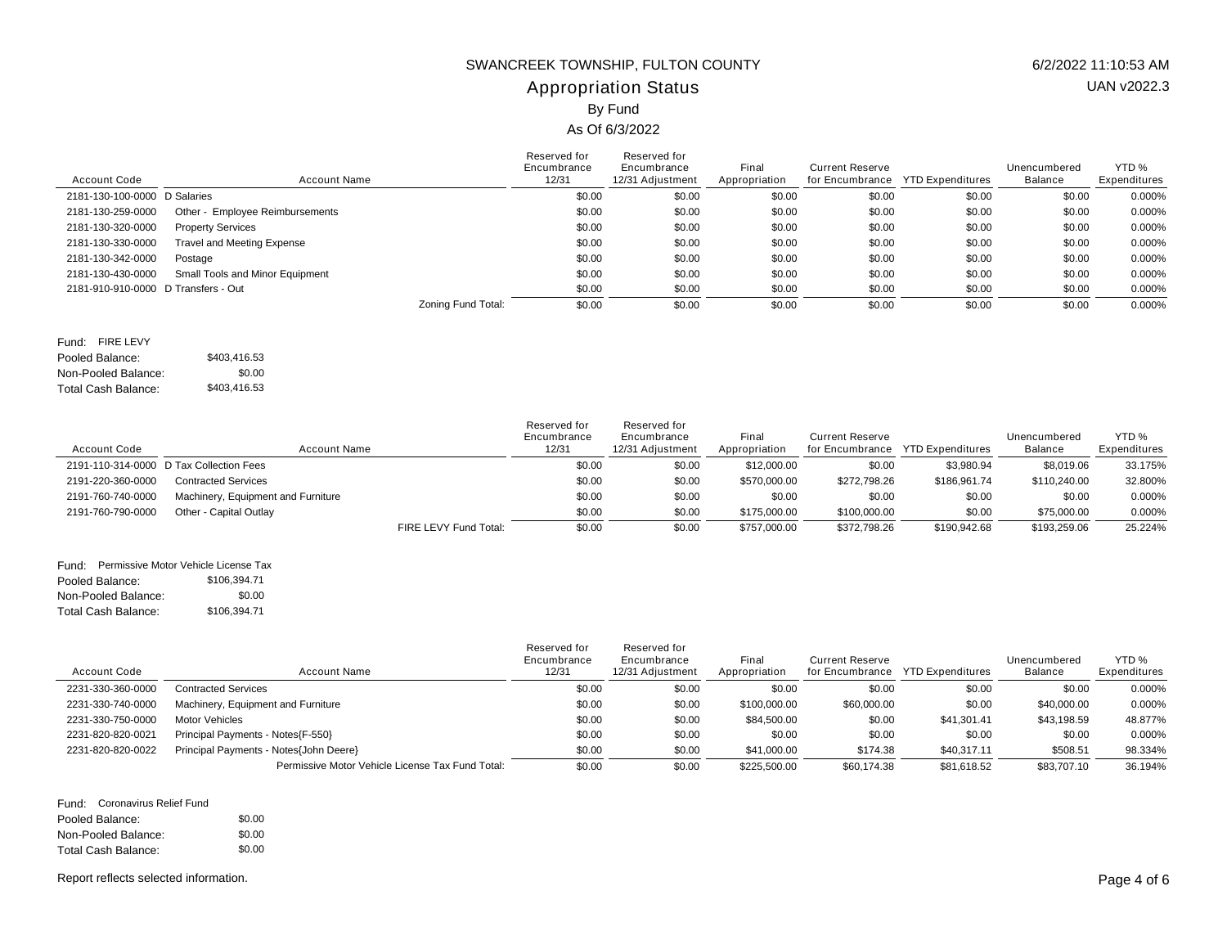## Appropriation Status SWANCREEK TOWNSHIP, FULTON COUNTY 6/2/2022 11:10:53 AM By Fund

## As Of 6/3/2022

| d for | Reserved for |
|-------|--------------|

| <b>Account Code</b>                 | Account Name                      |                    | Reserved for<br>Encumbrance<br>12/31 | Reserved for<br>Encumbrance<br>12/31 Adjustment | Final<br>Appropriation | <b>Current Reserve</b><br>for Encumbrance | <b>YTD Expenditures</b> | Unencumbered<br>Balance | YTD %<br>Expenditures |
|-------------------------------------|-----------------------------------|--------------------|--------------------------------------|-------------------------------------------------|------------------------|-------------------------------------------|-------------------------|-------------------------|-----------------------|
| 2181-130-100-0000 D Salaries        |                                   |                    | \$0.00                               | \$0.00                                          | \$0.00                 | \$0.00                                    | \$0.00                  | \$0.00                  | 0.000%                |
| 2181-130-259-0000                   | Other - Employee Reimbursements   |                    | \$0.00                               | \$0.00                                          | \$0.00                 | \$0.00                                    | \$0.00                  | \$0.00                  | 0.000%                |
| 2181-130-320-0000                   | <b>Property Services</b>          |                    | \$0.00                               | \$0.00                                          | \$0.00                 | \$0.00                                    | \$0.00                  | \$0.00                  | 0.000%                |
| 2181-130-330-0000                   | <b>Travel and Meeting Expense</b> |                    | \$0.00                               | \$0.00                                          | \$0.00                 | \$0.00                                    | \$0.00                  | \$0.00                  | 0.000%                |
| 2181-130-342-0000                   | Postage                           |                    | \$0.00                               | \$0.00                                          | \$0.00                 | \$0.00                                    | \$0.00                  | \$0.00                  | 0.000%                |
| 2181-130-430-0000                   | Small Tools and Minor Equipment   |                    | \$0.00                               | \$0.00                                          | \$0.00                 | \$0.00                                    | \$0.00                  | \$0.00                  | 0.000%                |
| 2181-910-910-0000 D Transfers - Out |                                   |                    | \$0.00                               | \$0.00                                          | \$0.00                 | \$0.00                                    | \$0.00                  | \$0.00                  | 0.000%                |
|                                     |                                   | Zoning Fund Total: | \$0.00                               | \$0.00                                          | \$0.00                 | \$0.00                                    | \$0.00                  | \$0.00                  | 0.000%                |

Pooled Balance: \$403,416.53 Non-Pooled Balance: Total Cash Balance: Fund: FIRE LEVY \$0.00 \$403,416.53

| <b>Account Code</b> | Account Name                            |                       | Reserved for<br>Encumbrance<br>12/31 | Reserved for<br>Encumbrance<br>12/31 Adiustment | Final<br>Appropriation | <b>Current Reserve</b><br>for Encumbrance | <b>YTD Expenditures</b> | Unencumbered<br>Balance | YTD <sub>%</sub><br>Expenditures |
|---------------------|-----------------------------------------|-----------------------|--------------------------------------|-------------------------------------------------|------------------------|-------------------------------------------|-------------------------|-------------------------|----------------------------------|
|                     | 2191-110-314-0000 D Tax Collection Fees |                       | \$0.00                               | \$0.00                                          | \$12,000.00            | \$0.00                                    | \$3.980.94              | \$8,019.06              | 33.175%                          |
| 2191-220-360-0000   | <b>Contracted Services</b>              |                       | \$0.00                               | \$0.00                                          | \$570,000,00           | \$272.798.26                              | \$186.961.74            | \$110,240.00            | 32.800%                          |
| 2191-760-740-0000   | Machinery, Equipment and Furniture      |                       | \$0.00                               | \$0.00                                          | \$0.00                 | \$0.00                                    | \$0.00                  | \$0.00                  | 0.000%                           |
| 2191-760-790-0000   | Other - Capital Outlay                  |                       | \$0.00                               | \$0.00                                          | \$175,000.00           | \$100,000,00                              | \$0.00                  | \$75,000.00             | 0.000%                           |
|                     |                                         | FIRE LEVY Fund Total: | \$0.00                               | \$0.00                                          | \$757,000.00           | \$372.798.26                              | \$190,942.68            | \$193.259.06            | 25.224%                          |

Pooled Balance: \$106,394.71 Non-Pooled Balance: Total Cash Balance: Fund: Permissive Motor Vehicle License Tax \$0.00 \$106,394.71

| <b>Account Code</b> | Account Name                                     | Reserved for<br>Encumbrance<br>12/31 | Reserved for<br>Encumbrance<br>12/31 Adjustment | Final<br>Appropriation | Current Reserve<br>for Encumbrance | YTD Expenditures | Unencumbered<br>Balance | YTD <sub>%</sub><br>Expenditures |
|---------------------|--------------------------------------------------|--------------------------------------|-------------------------------------------------|------------------------|------------------------------------|------------------|-------------------------|----------------------------------|
| 2231-330-360-0000   | <b>Contracted Services</b>                       | \$0.00                               | \$0.00                                          | \$0.00                 | \$0.00                             | \$0.00           | \$0.00                  | 0.000%                           |
| 2231-330-740-0000   | Machinery, Equipment and Furniture               | \$0.00                               | \$0.00                                          | \$100,000.00           | \$60,000.00                        | \$0.00           | \$40,000.00             | 0.000%                           |
| 2231-330-750-0000   | <b>Motor Vehicles</b>                            | \$0.00                               | \$0.00                                          | \$84,500.00            | \$0.00                             | \$41,301.41      | \$43,198.59             | 48.877%                          |
| 2231-820-820-0021   | Principal Payments - Notes{F-550}                | \$0.00                               | \$0.00                                          | \$0.00                 | \$0.00                             | \$0.00           | \$0.00                  | 0.000%                           |
| 2231-820-820-0022   | Principal Payments - Notes{John Deere}           | \$0.00                               | \$0.00                                          | \$41,000.00            | \$174.38                           | \$40,317.11      | \$508.51                | 98.334%                          |
|                     | Permissive Motor Vehicle License Tax Fund Total: | \$0.00                               | \$0.00                                          | \$225,500.00           | \$60.174.38                        | \$81.618.52      | \$83,707.10             | 36.194%                          |

|                     | Fund: Coronavirus Relief Fund |  |
|---------------------|-------------------------------|--|
| Pooled Balance:     | \$0.00                        |  |
| Non-Pooled Balance: | \$0.00                        |  |
| Total Cash Balance: | \$0.00                        |  |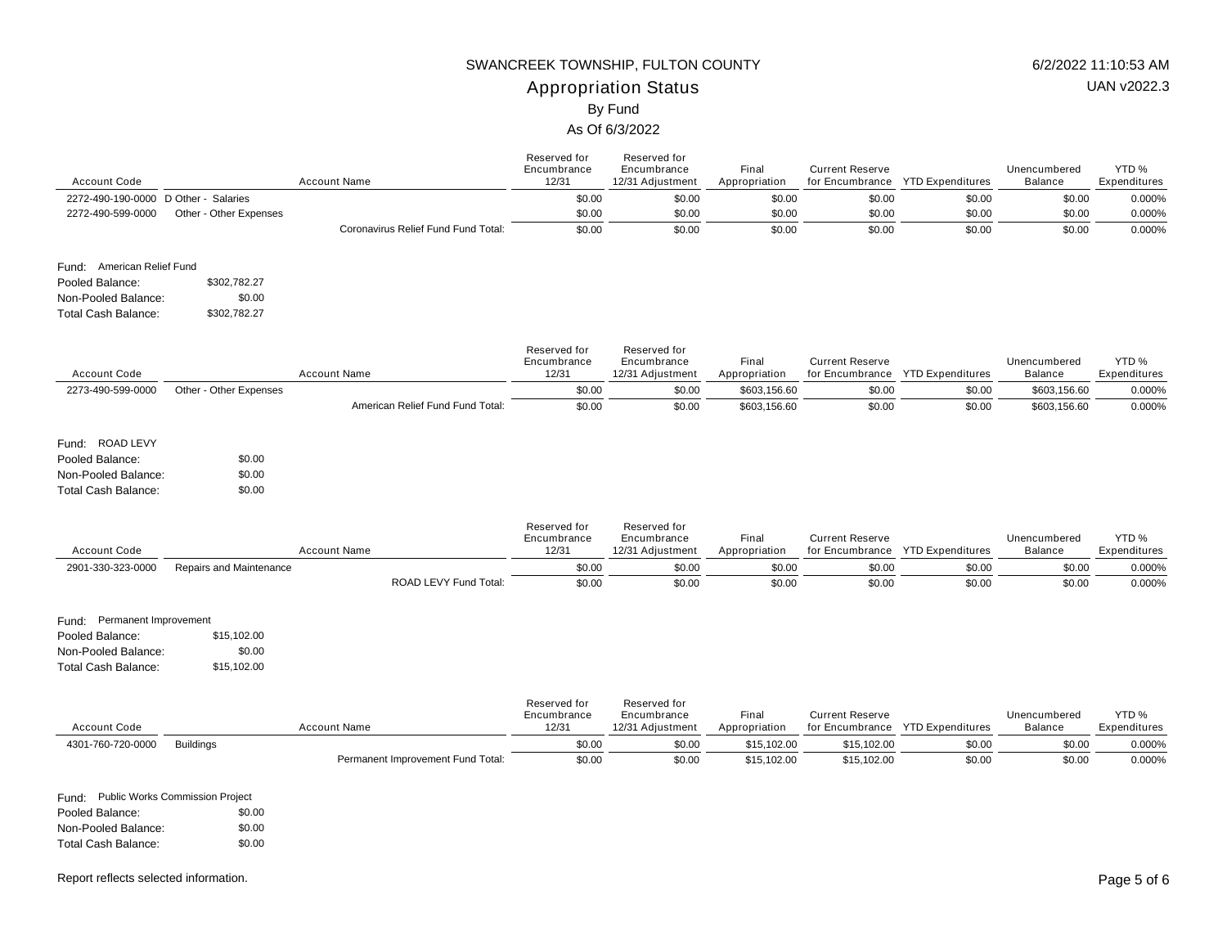## Appropriation Status SWANCREEK TOWNSHIP, FULTON COUNTY 6/2/2022 11:10:53 AM By Fund

#### As Of 6/3/2022

| <b>Account Code</b>                                                                                 |                                      | <b>Account Name</b>                 | Reserved for<br>Encumbrance<br>12/31 | Reserved for<br>Encumbrance<br>12/31 Adjustment | Final<br>Appropriation | <b>Current Reserve</b>                                     | for Encumbrance YTD Expenditures | Unencumbered<br><b>Balance</b> | YTD %<br>Expenditures            |
|-----------------------------------------------------------------------------------------------------|--------------------------------------|-------------------------------------|--------------------------------------|-------------------------------------------------|------------------------|------------------------------------------------------------|----------------------------------|--------------------------------|----------------------------------|
| 2272-490-190-0000 D Other - Salaries                                                                |                                      |                                     | \$0.00                               | \$0.00                                          | \$0.00                 | \$0.00                                                     | \$0.00                           | \$0.00                         | 0.000%                           |
| 2272-490-599-0000                                                                                   | Other - Other Expenses               |                                     | \$0.00                               | \$0.00                                          | \$0.00                 | \$0.00                                                     | \$0.00                           | \$0.00                         | 0.000%                           |
|                                                                                                     |                                      | Coronavirus Relief Fund Fund Total: | \$0.00                               | \$0.00                                          | \$0.00                 | \$0.00                                                     | \$0.00                           | \$0.00                         | 0.000%                           |
| Fund: American Relief Fund                                                                          |                                      |                                     |                                      |                                                 |                        |                                                            |                                  |                                |                                  |
| Pooled Balance:                                                                                     | \$302,782.27                         |                                     |                                      |                                                 |                        |                                                            |                                  |                                |                                  |
| Non-Pooled Balance:                                                                                 | \$0.00                               |                                     |                                      |                                                 |                        |                                                            |                                  |                                |                                  |
| <b>Total Cash Balance:</b>                                                                          | \$302,782.27                         |                                     |                                      |                                                 |                        |                                                            |                                  |                                |                                  |
| <b>Account Code</b>                                                                                 |                                      | <b>Account Name</b>                 | Reserved for<br>Encumbrance<br>12/31 | Reserved for<br>Encumbrance<br>12/31 Adjustment | Final<br>Appropriation | <b>Current Reserve</b><br>for Encumbrance YTD Expenditures |                                  | Unencumbered<br><b>Balance</b> | YTD <sub>%</sub><br>Expenditures |
| 2273-490-599-0000                                                                                   | Other - Other Expenses               |                                     | \$0.00                               | \$0.00                                          | \$603,156.60           | \$0.00                                                     | \$0.00                           | \$603,156.60                   | 0.000%                           |
|                                                                                                     |                                      | American Relief Fund Fund Total:    | \$0.00                               | \$0.00                                          | \$603,156.60           | \$0.00                                                     | \$0.00                           | \$603,156.60                   | 0.000%                           |
| Fund: ROAD LEVY<br>Pooled Balance:<br>Non-Pooled Balance:<br><b>Total Cash Balance:</b>             | \$0.00<br>\$0.00<br>\$0.00           |                                     | Reserved for<br>Encumbrance          | Reserved for<br>Encumbrance                     | Final                  | <b>Current Reserve</b>                                     |                                  | Unencumbered                   | YTD %                            |
| <b>Account Code</b>                                                                                 |                                      | <b>Account Name</b>                 | 12/31                                | 12/31 Adjustment                                | Appropriation          | for Encumbrance                                            | <b>YTD Expenditures</b>          | <b>Balance</b>                 | Expenditures                     |
| 2901-330-323-0000                                                                                   | Repairs and Maintenance              |                                     | \$0.00                               | \$0.00                                          | \$0.00                 | \$0.00                                                     | \$0.00                           | \$0.00                         | 0.000%                           |
|                                                                                                     |                                      | ROAD LEVY Fund Total:               | \$0.00                               | \$0.00                                          | \$0.00                 | \$0.00                                                     | \$0.00                           | \$0.00                         | 0.000%                           |
| Fund: Permanent Improvement<br>Pooled Balance:<br>Non-Pooled Balance:<br><b>Total Cash Balance:</b> | \$15,102.00<br>\$0.00<br>\$15,102.00 |                                     |                                      |                                                 |                        |                                                            |                                  |                                |                                  |
| <b>Account Code</b>                                                                                 |                                      | <b>Account Name</b>                 | Reserved for<br>Encumbrance<br>12/31 | Reserved for<br>Encumbrance<br>12/31 Adjustment | Final<br>Appropriation | <b>Current Reserve</b><br>for Encumbrance                  | <b>YTD Expenditures</b>          | Unencumbered<br><b>Balance</b> | YTD %<br>Expenditures            |
| 4301-760-720-0000                                                                                   | <b>Buildings</b>                     |                                     | \$0.00                               | \$0.00                                          | \$15,102.00            | \$15,102.00                                                | \$0.00                           | \$0.00                         | 0.000%                           |

Permanent Improvement Fund Total:  $\frac{$0.00}{$0.00}$  \$0.00 \$15,102.00 \$15,102.00 \$0.00 \$0.00 \$0.00 \$0.00 0.000%

Pooled Balance: \$0.00 Non-Pooled Balance: Total Cash Balance: Fund: Public Works Commission Project \$0.00 \$0.00